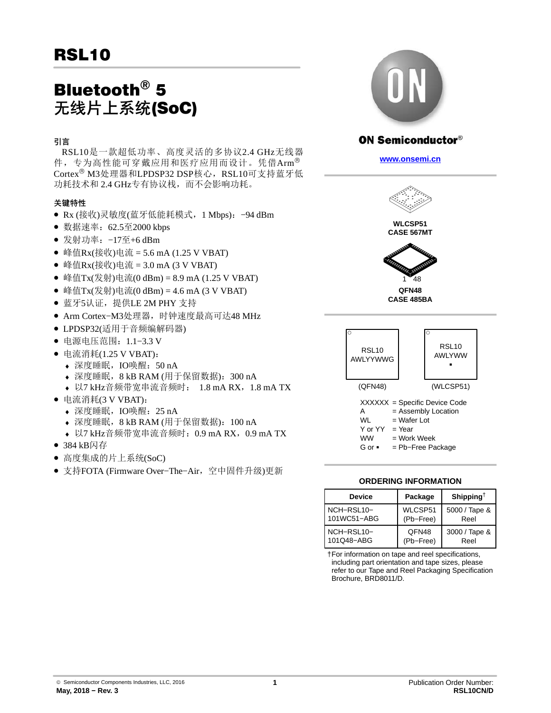# Bluetooth® 5 无线片上系统(SoC)

## 引言

RSL10是一款超低功率、高度灵活的多协议2.4 GHz无线器 件, 专为高性能可穿戴应用和医疗应用而设计。凭借Arm® Cortex® M3处理器和LPDSP32 DSP核心, RSL10可支持蓝牙低 功耗技术和 2.4 GHz专有协议栈, 而不会影响功耗。

## 关键特性

- Rx (接收)灵敏度(蓝牙低能耗模式, 1 Mbps): -94 dBm
- 数据速率: 62.5至2000 kbps
- 发射功率: -17至+6 dBm
- 峰值Rx(接收)电流 = 5.6 mA (1.25 V VBAT)
- 峰值 $Rx$ (接收) 电流 = 3.0 mA (3 V VBAT)
- 峰值Tx(发射)电流(0 dBm) = 8.9 mA (1.25 V VBAT)
- 峰值Tx(发射)电流 $(0$  dBm) = 4.6 mA  $(3$  V VBAT)
- 蓝牙5认证, 提供LE 2M PHY 支持
- Arm Cortex-M3处理器, 时钟速度最高可达48 MHz
- LPDSP32(适用于音频编解码器)
- 电源电压范围: 1.1-3.3 V
- 电流消耗(1.25 V VBAT):
	- 深度睡眠, IO唤醒: 50 nA
	- ◆ 深度睡眠, 8 kB RAM (用于保留数据): 300 nA
	- 以7 kHz音频带宽串流音频时: 1.8 mA RX, 1.8 mA TX
- 电流消耗 $(3 V VBAT)$ :
	- 深度睡眠, IO唤醒: 25 nA
	- ◆ 深度睡眠, 8 kB RAM (用于保留数据): 100 nA
	- 以7 kHz音频带宽串流音频时: 0.9 mA RX, 0.9 mA TX
- 384 kB闪存
- 高度集成的片上系统(SoC)
- 支持FOTA (Firmware Over-The-Air, 空中固件升级)更新



# **ON Semiconductor®**

**[www.onsemi.cn](http://www.onsemi.cn/)**



**CASE 567MT**



**QFN48 CASE 485BA**



#### **ORDERING INFORMATION**

| <b>Device</b> | Package   | Shipping <sup>†</sup> |
|---------------|-----------|-----------------------|
| NCH-RSL10-    | WLCSP51   | 5000 / Tape &         |
| 101WC51-ABG   | (Pb-Free) | Reel                  |
| NCH-RSL10-    | OFN48     | 3000 / Tape &         |
| 101Q48-ABG    | (Pb-Free) | Reel                  |

†For information on tape and reel specifications, including part orientation and tape sizes, please refer to our Tape and Reel Packaging Specification Brochure, BRD8011/D.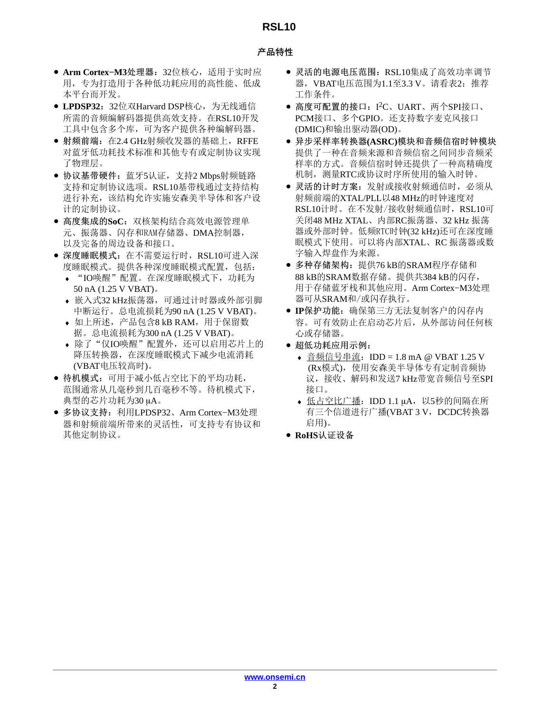## 产品特性

- Arm Cortex-M3处理器: 32位核心, 适用于实时应 用,专为打造用于各种低功耗应用的高性能、低成 本平台而开发。
- LPDSP32: 32位双Harvard DSP核心, 为无线通信 所需的音频编解码器提供高效支持。在RSL10开发 工具中包含多个库, 可为客户提供各种编解码器。
- 射频前端: 在2.4 GHz射频收发器的基础上, RFFE 对蓝牙低功耗技术标准和其他专有或定制协议实现 了物理层。
- 协议基带硬件: 蓝牙5认证, 支持2 Mbps射频链路 支持和定制协议选项。RSL10基带栈通过支持结构 进行补充, 该结构允许实施安森美半导体和客户设 计的定制协议。
- 高度集成的SoC: 双核架构结合高效电源管理单 元、振荡器、闪存和RAM存储器、DMA控制器, 以及完备的周边设备和接口。
- 深度睡眠模式: 在不需要运行时, RSL10可进入深 度睡眠模式。提供各种深度睡眠模式配置,包括:
	- ◆ "IO唤醒"配置。在深度睡眠模式下, 功耗为 50 nA (1.25 V VBAT).
	- ◆ 嵌入式32 kHz振荡器, 可通过计时器或外部引脚 中断运行。总电流损耗为90 nA (1.25 V VBAT)。
	- ◆ 如上所述, 产品包含8 kB RAM, 用于保留数 据。总电流损耗为300 nA (1.25 V VBAT)。
	- ◆ 除了"仅IO唤醒"配置外, 还可以启用芯片上的 降压转换器, 在深度睡眠模式下减少电流消耗 (VBAT电压较高时)。
- 待机模式: 可用于减小低占空比下的平均功耗, 范围通常从几毫秒到几百毫秒不等。待机模式下, 典型的芯片功耗为30 µA。
- 多协议支持: 利用LPDSP32、Arm Cortex-M3处理 器和射频前端所带来的灵活性, 可支持专有协议和 其他定制协议。
- 灵活的电源电压范围: RSL10集成了高效功率调节 器, VBAT电压范围为1.1至3.3 V。请看表2: 推荐 工作条件。
- 高度可配置的接口:  $I^2C$ 、UART、两个SPI接口、 PCM接口、多个GPIO。还支持数字麦克风接口 (DMIC)和输出驱动器(OD)。
- 异步采样率转换器(ASRC)模块和音频信宿时钟模块 提供了一种在音频来源和音频信宿之间同步音频采 样率的方式。音频信宿时钟还提供了一种高精确度 机制,测量RTC或协议时序所使用的输入时钟。
- 灵活的计时方案: 发射或接收射频通信时, 必须从 射频前端的XTAL/PLL以48 MHz的时钟速度对 RSL10计时。在不发射/接收射频通信时, RSL10可 关闭48 MHz XTAL、内部RC振荡器、32 kHz 振荡 器或外部时钟。低频RTC时钟(32 kHz)还可在深度睡 眠模式下使用。可以将内部XTAL、RC 振荡器或数 字输入焊盘作为来源。
- 多种存储架构: 提供76 kB的SRAM程序存储和 88 kB的SRAM数据存储。提供共384 kB的闪存, 用于存储蓝牙栈和其他应用。Arm Cortex-M3处理 器可从SRAM和/或闪存执行。
- IP保护功能: 确保第三方无法复制客户的闪存内 容。可有效防止在启动芯片后,从外部访问任何核 心或存储器。
- 超低功耗应用示例:
	- ◆ 音频信号串流: IDD = 1.8 mA @ VBAT 1.25 V (Rx模式), 使用安森美半导体专有定制音频协 议, 接收、解码和发送7 kHz带宽音频信号至SPI 接口。
	- ◆ 低占空比广播: IDD 1.1 uA, 以5秒的间隔在所 有三个信道进行广播(VBAT 3 V, DCDC转换器 启用)。
- RoHS认证设备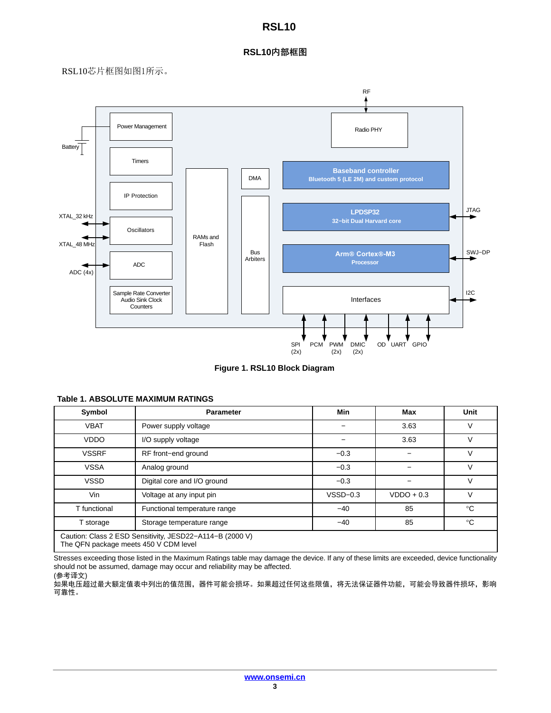**RSL10**

RSL10芯片框图如图1所示。



**Figure 1. RSL10 Block Diagram**

| Symbol                                | <b>Parameter</b>                                         | Min        | Max          | Unit        |
|---------------------------------------|----------------------------------------------------------|------------|--------------|-------------|
| <b>VBAT</b>                           | Power supply voltage                                     |            | 3.63         | ν           |
| <b>VDDO</b>                           | I/O supply voltage                                       |            | 3.63         | V           |
| <b>VSSRF</b>                          | RF front-end ground                                      | $-0.3$     |              | V           |
| <b>VSSA</b>                           | Analog ground                                            | $-0.3$     |              | ν           |
| <b>VSSD</b>                           | Digital core and I/O ground                              | $-0.3$     |              | V           |
| Vin                                   | Voltage at any input pin                                 | $VSSD-0.3$ | $VDDO + 0.3$ | ν           |
| T functional                          | Functional temperature range                             | $-40$      | 85           | $^{\circ}C$ |
| T storage                             | Storage temperature range                                | $-40$      | 85           | $^{\circ}C$ |
| The QFN package meets 450 V CDM level | Caution: Class 2 ESD Sensitivity, JESD22-A114-B (2000 V) |            |              |             |

#### **Table 1. ABSOLUTE MAXIMUM RATINGS**

Stresses exceeding those listed in the Maximum Ratings table may damage the device. If any of these limits are exceeded, device functionality should not be assumed, damage may occur and reliability may be affected.

(参考译文)

如果电压超过最大额定值表中列出的值范围,器件可能会损坏。如果超过任何这些限值,将无法保证器件功能,可能会导致器件损坏,影响 可靠性。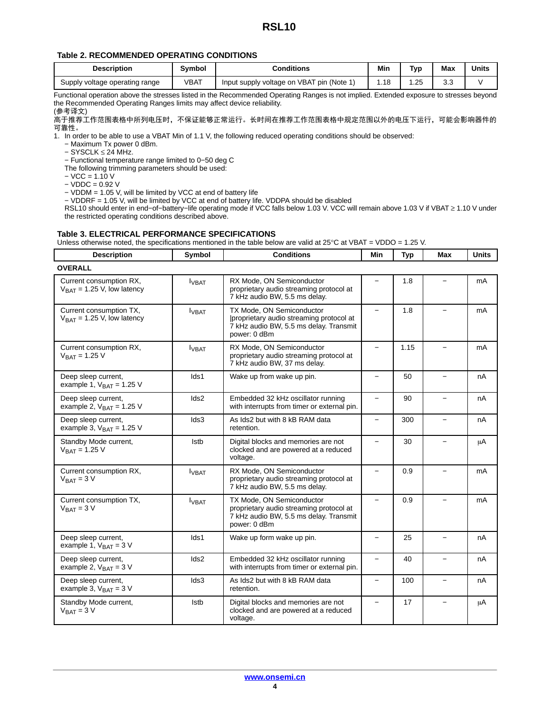#### <span id="page-3-0"></span>**Table 2. RECOMMENDED OPERATING CONDITIONS**

| <b>Description</b>             | Symbol      | Conditions                                     | Min | Typ | <b>Max</b><br>____ | <b>Units</b> |
|--------------------------------|-------------|------------------------------------------------|-----|-----|--------------------|--------------|
| Supply voltage operating range | <b>VBAT</b> | pin (Note<br>u VBAT<br>Input supply voltage on | .18 | .25 | $\sim$<br>いぃ       |              |

Functional operation above the stresses listed in the Recommended Operating Ranges is not implied. Extended exposure to stresses beyond the Recommended Operating Ranges limits may affect device reliability.

(参考译文)

高于推荐工作范围表格中所列电压时,不保证能够正常运行。长时间在推荐工作范围表格中规定范围以外的电压下运行,可能会影响器件的 可靠性。

1. In order to be able to use a VBAT Min of 1.1 V, the following reduced operating conditions should be observed:

− Maximum Tx power 0 dBm.

− SYSCLK ≤ 24 MHz.

− Functional temperature range limited to 0−50 deg C

The following trimming parameters should be used:

− VCC = 1.10 V

− VDDC = 0.92 V

− VDDM = 1.05 V, will be limited by VCC at end of battery life

− VDDRF = 1.05 V, will be limited by VCC at end of battery life. VDDPA should be disabled

RSL10 should enter in end−of−battery−life operating mode if VCC falls below 1.03 V. VCC will remain above 1.03 V if VBAT ≥ 1.10 V under the restricted operating conditions described above.

#### **Table 3. ELECTRICAL PERFORMANCE SPECIFICATIONS**

| <b>Description</b>                                         | Symbol        | <b>Conditions</b>                                                                                                              | Min                      | <b>Typ</b> | <b>Max</b>        | <b>Units</b> |
|------------------------------------------------------------|---------------|--------------------------------------------------------------------------------------------------------------------------------|--------------------------|------------|-------------------|--------------|
| <b>OVERALL</b>                                             |               |                                                                                                                                |                          |            |                   |              |
| Current consumption RX,<br>$V_{BAT} = 1.25$ V, low latency | $I_{VBAT}$    | RX Mode, ON Semiconductor<br>proprietary audio streaming protocol at<br>7 kHz audio BW, 5.5 ms delay.                          | $\qquad \qquad -$        | 1.8        |                   | mA           |
| Current consumption TX,<br>$V_{BAT} = 1.25$ V, low latency | $I_{VBAT}$    | TX Mode, ON Semiconductor<br>proprietary audio streaming protocol at<br>7 kHz audio BW, 5.5 ms delay. Transmit<br>power: 0 dBm | $\overline{\phantom{0}}$ | 1.8        |                   | mA           |
| Current consumption RX,<br>$V_{BAT} = 1.25 V$              | $I_{VBAT}$    | RX Mode, ON Semiconductor<br>proprietary audio streaming protocol at<br>7 kHz audio BW, 37 ms delay.                           | $\overline{\phantom{m}}$ | 1.15       |                   | mA           |
| Deep sleep current,<br>example 1, $V_{BAT} = 1.25 V$       | Ids1          | Wake up from wake up pin.                                                                                                      | $\overline{\phantom{m}}$ | 50         | $\equiv$          | nA           |
| Deep sleep current,<br>example 2, $V_{BAT} = 1.25 V$       | Ids2          | Embedded 32 kHz oscillator running<br>with interrupts from timer or external pin.                                              | $\overline{\phantom{0}}$ | 90         |                   | nA           |
| Deep sleep current,<br>example 3, $V_{BAT} = 1.25 V$       | Ids3          | As Ids2 but with 8 kB RAM data<br>retention.                                                                                   | $\overline{\phantom{0}}$ | 300        |                   | nA           |
| Standby Mode current,<br>$V_{BAT} = 1.25 V$                | Istb          | Digital blocks and memories are not<br>clocked and are powered at a reduced<br>voltage.                                        | $\overline{\phantom{m}}$ | 30         |                   | μA           |
| Current consumption RX,<br>$V_{BAT} = 3 V$                 | <b>I</b> VBAT | RX Mode, ON Semiconductor<br>proprietary audio streaming protocol at<br>7 kHz audio BW, 5.5 ms delay.                          | $\overline{\phantom{0}}$ | 0.9        |                   | mA           |
| Current consumption TX,<br>$V_{BAT} = 3 V$                 | $I_{VBAT}$    | TX Mode, ON Semiconductor<br>proprietary audio streaming protocol at<br>7 kHz audio BW, 5.5 ms delay. Transmit<br>power: 0 dBm | $\overline{\phantom{0}}$ | 0.9        |                   | mA           |
| Deep sleep current,<br>example 1, $V_{BAT} = 3 V$          | Ids1          | Wake up form wake up pin.                                                                                                      | $\overline{\phantom{m}}$ | 25         | $\overline{a}$    | nA           |
| Deep sleep current,<br>example 2, $V_{BAT} = 3 V$          | Ids2          | Embedded 32 kHz oscillator running<br>with interrupts from timer or external pin.                                              | $\overline{\phantom{0}}$ | 40         |                   | nA           |
| Deep sleep current,<br>example 3, $V_{BAT} = 3 V$          | Ids3          | As Ids2 but with 8 kB RAM data<br>retention.                                                                                   | $\overline{\phantom{0}}$ | 100        |                   | nA           |
| Standby Mode current,<br>$V_{BAT} = 3 V$                   | Istb          | Digital blocks and memories are not<br>clocked and are powered at a reduced<br>voltage.                                        | $\qquad \qquad -$        | 17         | $\qquad \qquad -$ | μA           |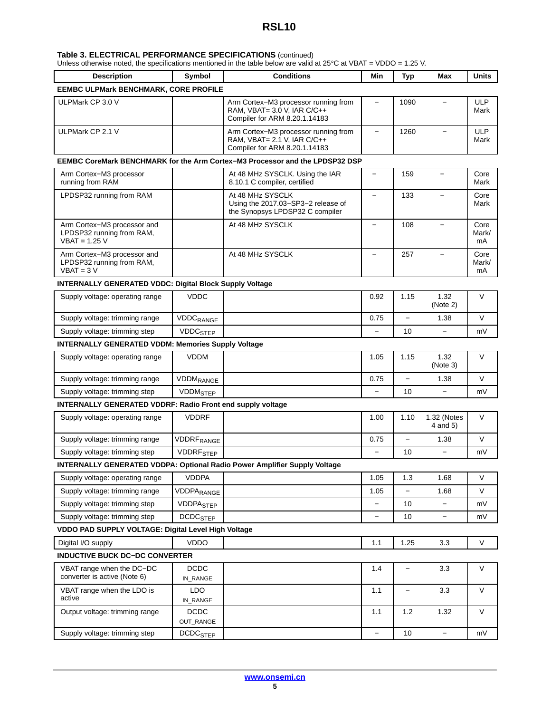#### **Table [3.](#page-3-0) ELECTRICAL PERFORMANCE SPECIFICATIONS** (continued)

| <b>Description</b>                                                           | <b>Symbol</b>               | <b>Conditions</b>                                                                                    |                          | <b>Typ</b>               | Max                      | <b>Units</b>        |
|------------------------------------------------------------------------------|-----------------------------|------------------------------------------------------------------------------------------------------|--------------------------|--------------------------|--------------------------|---------------------|
| EEMBC ULPMark BENCHMARK, CORE PROFILE                                        |                             |                                                                                                      |                          |                          |                          |                     |
| ULPMark CP 3.0 V                                                             |                             | Arm Cortex–M3 processor running from<br>RAM, VBAT= 3.0 V, IAR C/C++<br>Compiler for ARM 8.20.1.14183 | $\qquad \qquad -$        | 1090                     |                          | <b>ULP</b><br>Mark  |
| ULPMark CP 2.1 V                                                             |                             | Arm Cortex-M3 processor running from<br>RAM, VBAT= 2.1 V, IAR C/C++<br>Compiler for ARM 8.20.1.14183 | $\overline{\phantom{0}}$ | 1260                     | $\overline{\phantom{m}}$ | <b>ULP</b><br>Mark  |
| EEMBC CoreMark BENCHMARK for the Arm Cortex-M3 Processor and the LPDSP32 DSP |                             |                                                                                                      |                          |                          |                          |                     |
| Arm Cortex-M3 processor<br>running from RAM                                  |                             | At 48 MHz SYSCLK. Using the IAR<br>8.10.1 C compiler, certified                                      | —                        | 159                      | $\overline{\phantom{0}}$ | Core<br>Mark        |
| LPDSP32 running from RAM                                                     |                             | At 48 MHz SYSCLK<br>Using the 2017.03-SP3-2 release of<br>the Synopsys LPDSP32 C compiler            | $\overline{\phantom{0}}$ | 133                      |                          | Core<br>Mark        |
| Arm Cortex-M3 processor and<br>LPDSP32 running from RAM,<br>$VBAT = 1.25 V$  |                             | At 48 MHz SYSCLK                                                                                     | $\equiv$                 | 108                      | $\overline{a}$           | Core<br>Mark/<br>mA |
| Arm Cortex-M3 processor and<br>LPDSP32 running from RAM,<br>$VBAT = 3 V$     |                             | At 48 MHz SYSCLK                                                                                     | $\overline{\phantom{0}}$ | 257                      | $\overline{\phantom{0}}$ | Core<br>Mark/<br>mA |
| <b>INTERNALLY GENERATED VDDC: Digital Block Supply Voltage</b>               |                             |                                                                                                      |                          |                          |                          |                     |
| Supply voltage: operating range                                              | <b>VDDC</b>                 |                                                                                                      | 0.92                     | 1.15                     | 1.32<br>(Note 2)         | V                   |
| Supply voltage: trimming range                                               | <b>VDDC<sub>RANGE</sub></b> |                                                                                                      | 0.75                     | $\overline{a}$           | 1.38                     | V                   |
| Supply voltage: trimming step                                                | <b>VDDC<sub>STEP</sub></b>  |                                                                                                      |                          | 10                       | $\equiv$                 | mV                  |
| <b>INTERNALLY GENERATED VDDM: Memories Supply Voltage</b>                    |                             |                                                                                                      |                          |                          |                          |                     |
| Supply voltage: operating range                                              | <b>VDDM</b>                 |                                                                                                      | 1.05                     | 1.15                     | 1.32<br>(Note 3)         | V                   |
| Supply voltage: trimming range                                               | <b>VDDM<sub>RANGE</sub></b> |                                                                                                      | 0.75                     | $\overline{\phantom{0}}$ | 1.38                     | V                   |
| Supply voltage: trimming step                                                | <b>VDDM<sub>STEP</sub></b>  |                                                                                                      |                          | 10                       | $\overline{\phantom{0}}$ | mV                  |
| <b>INTERNALLY GENERATED VDDRF: Radio Front end supply voltage</b>            |                             |                                                                                                      |                          |                          |                          |                     |
| Supply voltage: operating range                                              | <b>VDDRF</b>                |                                                                                                      | 1.00                     | 1.10                     | 1.32 (Notes<br>4 and 5)  | V                   |
| Supply voltage: trimming range                                               | <b>VDDRFRANGE</b>           |                                                                                                      | 0.75                     | $\equiv$                 | 1.38                     | V                   |
| Supply voltage: trimming step                                                | <b>VDDRFSTEP</b>            |                                                                                                      |                          | 10                       |                          | mV                  |
|                                                                              |                             | <b>INTERNALLY GENERATED VDDPA: Optional Radio Power Amplifier Supply Voltage</b>                     |                          |                          |                          |                     |
| Supply voltage: operating range                                              | <b>VDDPA</b>                |                                                                                                      | 1.05                     | 1.3                      | 1.68                     | V                   |
| Supply voltage: trimming range                                               | <b>VDDPARANGE</b>           |                                                                                                      | 1.05                     |                          | 1.68                     | $\vee$              |
| Supply voltage: trimming step                                                | <b>VDDPASTEP</b>            |                                                                                                      | $\overline{\phantom{a}}$ | 10                       | $\overline{\phantom{a}}$ | mV                  |
| Supply voltage: trimming step                                                | <b>DCDC<sub>STEP</sub></b>  |                                                                                                      |                          | 10                       | -                        | mV                  |
| VDDO PAD SUPPLY VOLTAGE: Digital Level High Voltage                          |                             |                                                                                                      |                          |                          |                          |                     |
| Digital I/O supply                                                           | <b>VDDO</b>                 |                                                                                                      | 1.1                      | 1.25                     | 3.3                      | V                   |
| <b>INDUCTIVE BUCK DC-DC CONVERTER</b>                                        |                             |                                                                                                      |                          |                          |                          |                     |
| VBAT range when the DC-DC<br>converter is active (Note 6)                    | <b>DCDC</b><br>IN_RANGE     |                                                                                                      | 1.4                      | $\qquad \qquad -$        | 3.3                      | V                   |
| VBAT range when the LDO is<br>active                                         | <b>LDO</b><br>IN_RANGE      |                                                                                                      | 1.1                      | $\qquad \qquad -$        | 3.3                      | V                   |
| Output voltage: trimming range                                               | <b>DCDC</b><br>OUT_RANGE    |                                                                                                      | 1.1                      | 1.2                      | 1.32                     | V                   |
| Supply voltage: trimming step                                                | <b>DCDC<sub>STEP</sub></b>  |                                                                                                      | $\overline{\phantom{0}}$ | 10                       | $\overline{\phantom{a}}$ | mV                  |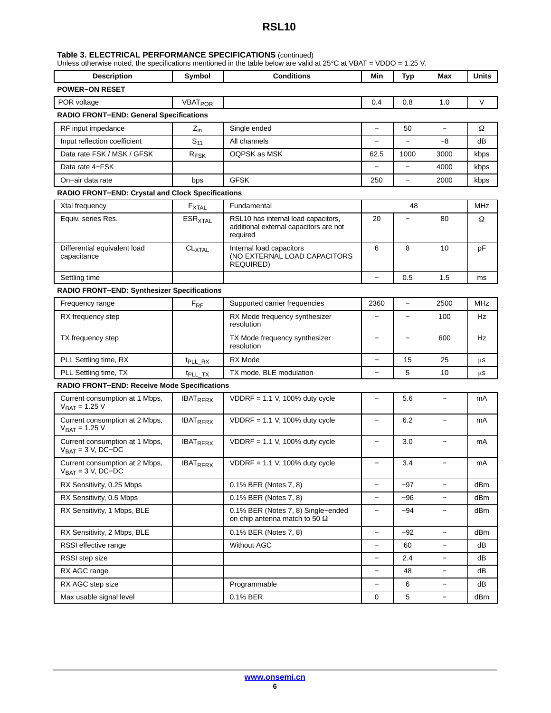#### **Table [3.](#page-3-0) ELECTRICAL PERFORMANCE SPECIFICATIONS** (continued)

| <b>Description</b>                                       | Symbol                     | <b>Conditions</b>                                                                         | Min                      | <b>Typ</b>               | Max                      | <b>Units</b> |
|----------------------------------------------------------|----------------------------|-------------------------------------------------------------------------------------------|--------------------------|--------------------------|--------------------------|--------------|
| <b>POWER-ON RESET</b>                                    |                            |                                                                                           |                          |                          |                          |              |
| POR voltage                                              | VBAT <sub>POR</sub>        |                                                                                           | 0.4                      | 0.8                      | 1.0                      | V            |
| <b>RADIO FRONT-END: General Specifications</b>           |                            |                                                                                           |                          |                          |                          |              |
| RF input impedance                                       | $Z_{\text{in}}$            | Single ended                                                                              | $\overline{\phantom{0}}$ | 50                       | $\overline{\phantom{a}}$ | Ω            |
| Input reflection coefficient                             | $S_{11}$                   | All channels                                                                              |                          |                          | -8                       | dB           |
| Data rate FSK / MSK / GFSK                               | $R_{FSK}$                  | OQPSK as MSK                                                                              | 62.5                     | 1000                     | 3000                     | kbps         |
| Data rate 4-FSK                                          |                            |                                                                                           |                          | $\equiv$                 | 4000                     | kbps         |
| On-air data rate                                         | bps                        | <b>GFSK</b>                                                                               | 250                      |                          | 2000                     | kbps         |
| <b>RADIO FRONT-END: Crystal and Clock Specifications</b> |                            |                                                                                           |                          |                          |                          |              |
| Xtal frequency                                           | $F_{\text{XTAL}}$          | Fundamental                                                                               |                          | 48                       |                          | MHz          |
| Equiv. series Res.                                       | <b>ESR<sub>XTAL</sub></b>  | RSL10 has internal load capacitors,<br>additional external capacitors are not<br>required | 20                       |                          | 80                       | Ω            |
| Differential equivalent load<br>capacitance              | $CL_{\text{XTAL}}$         | Internal load capacitors<br>(NO EXTERNAL LOAD CAPACITORS<br><b>REQUIRED)</b>              | 6                        | 8                        | 10                       | pF           |
| Settling time                                            |                            |                                                                                           |                          | 0.5                      | 1.5                      | ms           |
| <b>RADIO FRONT-END: Synthesizer Specifications</b>       |                            |                                                                                           |                          |                          |                          |              |
| Frequency range                                          | $F_{RF}$                   | Supported carrier frequencies                                                             | 2360                     | $\overline{\phantom{0}}$ | 2500                     | <b>MHz</b>   |
| RX frequency step                                        |                            | RX Mode frequency synthesizer<br>resolution                                               |                          |                          | 100                      | Hz           |
| TX frequency step                                        |                            | TX Mode frequency synthesizer<br>resolution                                               | $\overline{\phantom{0}}$ | $\overline{\phantom{0}}$ | 600                      | Hz           |
| PLL Settling time, RX                                    | t <sub>PLL_RX</sub>        | RX Mode                                                                                   | $\overline{\phantom{0}}$ | 15                       | 25                       | μs           |
| PLL Settling time, TX                                    | <sup>t</sup> PLL TX        | TX mode, BLE modulation                                                                   | $\overline{\phantom{0}}$ | 5                        | 10                       | μS           |
| RADIO FRONT-END: Receive Mode Specifications             |                            |                                                                                           |                          |                          |                          |              |
| Current consumption at 1 Mbps,<br>$VBAT = 1.25 V$        | <b>IBAT<sub>RFRX</sub></b> | $VDDRF = 1.1 V, 100%$ duty cycle                                                          | $\qquad \qquad -$        | 5.6                      | $\qquad \qquad -$        | mA           |
| Current consumption at 2 Mbps,<br>$V_{BAT} = 1.25 V$     | <b>IBATRERX</b>            | $VDDRF = 1.1 V, 100\%$ duty cycle                                                         |                          | 6.2                      | $\overline{\phantom{0}}$ | mA           |
| Current consumption at 1 Mbps,<br>$V_{BAT} = 3 V, DC-DC$ | <b>IBAT<sub>RFRX</sub></b> | $VDDRF = 1.1 V, 100\%$ duty cycle                                                         | $\overline{\phantom{0}}$ | 3.0                      | $\qquad \qquad -$        | mA           |
| Current consumption at 2 Mbps,<br>$V_{BAT} = 3 V, DC-DC$ | <b>IBATRFRX</b>            | $VDDRF = 1.1 V, 100\%$ duty cycle                                                         | $\qquad \qquad -$        | 3.4                      | $\overline{\phantom{0}}$ | mA           |
| RX Sensitivity, 0.25 Mbps                                |                            | 0.1% BER (Notes 7, 8)                                                                     | $\qquad \qquad -$        | -97                      | $\overline{\phantom{0}}$ | dBm          |
| RX Sensitivity, 0.5 Mbps                                 |                            | 0.1% BER (Notes 7, 8)                                                                     | $\qquad \qquad -$        | -96                      | $\qquad \qquad -$        | dBm          |
| RX Sensitivity, 1 Mbps, BLE                              |                            | 0.1% BER (Notes 7, 8) Single-ended<br>on chip antenna match to 50 $\Omega$                | $\overline{\phantom{0}}$ | $-94$                    |                          | dBm          |
| RX Sensitivity, 2 Mbps, BLE                              |                            | 0.1% BER (Notes 7, 8)                                                                     | $\overline{\phantom{0}}$ | $-92$                    | $\overline{\phantom{m}}$ | dBm          |
| RSSI effective range                                     |                            | <b>Without AGC</b>                                                                        | $\qquad \qquad -$        | 60                       | $\qquad \qquad -$        | dB           |
| RSSI step size                                           |                            |                                                                                           |                          | 2.4                      |                          | dB           |
| RX AGC range                                             |                            |                                                                                           | $\qquad \qquad -$        | 48                       | $\qquad \qquad -$        | dВ           |
| RX AGC step size                                         |                            | Programmable                                                                              | $\qquad \qquad -$        | 6                        | $\qquad \qquad -$        | dB           |
| Max usable signal level                                  |                            | 0.1% BER                                                                                  | $\mathbf 0$              | 5                        | $\qquad \qquad -$        | dBm          |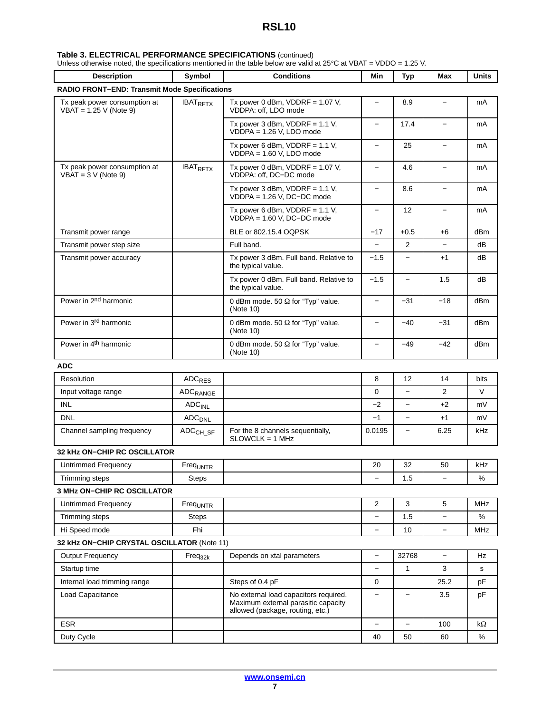#### **Table [3.](#page-3-0) ELECTRICAL PERFORMANCE SPECIFICATIONS** (continued)

| <b>Description</b>                                       | Symbol                     | <b>Conditions</b>                                                                                                | Min                      | Typ                      | Max                      | <b>Units</b>    |
|----------------------------------------------------------|----------------------------|------------------------------------------------------------------------------------------------------------------|--------------------------|--------------------------|--------------------------|-----------------|
| RADIO FRONT-END: Transmit Mode Specifications            |                            |                                                                                                                  |                          |                          |                          |                 |
| Tx peak power consumption at<br>$VBAT = 1.25 V (Note 9)$ | <b>IBAT<sub>RFTX</sub></b> | Tx power 0 dBm, $VDDRF = 1.07 V$ ,<br>VDDPA: off, LDO mode                                                       | $\overline{\phantom{0}}$ | 8.9                      | $\overline{\phantom{a}}$ | mA              |
|                                                          |                            | Tx power 3 dBm, $VDDRF = 1.1 V$ ,<br>VDDPA = 1.26 V, LDO mode                                                    | $\qquad \qquad -$        | 17.4                     | $\equiv$                 | mA              |
|                                                          |                            | Tx power 6 dBm, $VDDRF = 1.1 V$ ,<br>VDDPA = 1.60 V, LDO mode                                                    | $\equiv$                 | 25                       | $\equiv$                 | mA              |
| Tx peak power consumption at<br>$VBAT = 3 V (Note 9)$    | <b>IBAT<sub>RFTX</sub></b> | Tx power 0 dBm, $VDDRF = 1.07 V$ ,<br>VDDPA: off, DC-DC mode                                                     | $\overline{\phantom{0}}$ | 4.6                      | $\equiv$                 | mA              |
|                                                          |                            | Tx power 3 dBm, $VDDRF = 1.1 V$ ,<br>$VDDPA = 1.26$ V, DC-DC mode                                                | $\overline{\phantom{0}}$ | 8.6                      | $\equiv$                 | mA              |
|                                                          |                            | Tx power 6 dBm, $VDDRF = 1.1 V$ ,<br>$VDDPA = 1.60 V$ , DC-DC mode                                               | $\qquad \qquad -$        | 12                       | $\overline{\phantom{a}}$ | mA              |
| Transmit power range                                     |                            | BLE or 802.15.4 OQPSK                                                                                            | $-17$                    | $+0.5$                   | $+6$                     | dB <sub>m</sub> |
| Transmit power step size                                 |                            | Full band.                                                                                                       |                          | 2                        |                          | dB              |
| Transmit power accuracy                                  |                            | Tx power 3 dBm. Full band. Relative to<br>the typical value.                                                     | $-1.5$                   | $\qquad \qquad -$        | $+1$                     | dB              |
|                                                          |                            | Tx power 0 dBm. Full band. Relative to<br>the typical value.                                                     | $-1.5$                   | $\overline{\phantom{0}}$ | 1.5                      | dB              |
| Power in 2 <sup>nd</sup> harmonic                        |                            | 0 dBm mode. 50 $\Omega$ for "Typ" value.<br>(Note 10)                                                            | $\qquad \qquad -$        | -31                      | $-18$                    | dB <sub>m</sub> |
| Power in 3rd harmonic                                    |                            | 0 dBm mode. 50 $\Omega$ for "Typ" value.<br>(Note 10)                                                            | $\qquad \qquad -$        | -40                      | $-31$                    | dB <sub>m</sub> |
| Power in 4 <sup>th</sup> harmonic                        |                            | 0 dBm mode. 50 $\Omega$ for "Typ" value.<br>(Note 10)                                                            | $\qquad \qquad -$        | -49                      | $-42$                    | dBm             |
| <b>ADC</b>                                               |                            |                                                                                                                  |                          |                          |                          |                 |
| Resolution                                               | <b>ADC<sub>RES</sub></b>   |                                                                                                                  | 8                        | 12                       | 14                       | bits            |
| Input voltage range                                      | <b>ADC<sub>RANGE</sub></b> |                                                                                                                  | 0                        |                          | 2                        | V               |
| <b>INL</b>                                               | <b>ADC<sub>INL</sub></b>   |                                                                                                                  | $-2$                     | $\overline{\phantom{0}}$ | $+2$                     | mV              |
| <b>DNL</b>                                               | <b>ADC<sub>DNL</sub></b>   |                                                                                                                  | $-1$                     | $\overline{a}$           | $+1$                     | mV              |
| Channel sampling frequency                               | ADC <sub>CH SF</sub>       | For the 8 channels sequentially.<br>$SLOWCLK = 1 MHz$                                                            | 0.0195                   | $\qquad \qquad -$        | 6.25                     | kHz             |
| <b>32 kHz ON-CHIP RC OSCILLATOR</b>                      |                            |                                                                                                                  |                          |                          |                          |                 |
| <b>Untrimmed Frequency</b>                               | Freq <sub>UNTR</sub>       |                                                                                                                  | 20                       | 32                       | 50                       | kHz             |
| Trimming steps                                           | Steps                      |                                                                                                                  | $\qquad \qquad -$        | 1.5                      | $\overline{\phantom{a}}$ | $\%$            |
| <b>3 MHz ON-CHIP RC OSCILLATOR</b>                       |                            |                                                                                                                  |                          |                          |                          |                 |
| <b>Untrimmed Frequency</b>                               | Freq <sub>UNTR</sub>       |                                                                                                                  | 2                        | 3                        | 5                        | MHz             |
| Trimming steps                                           | <b>Steps</b>               |                                                                                                                  | $\overline{\phantom{0}}$ | 1.5                      | $\overline{\phantom{0}}$ | %               |
| Hi Speed mode                                            | Fhi                        |                                                                                                                  | $\overline{\phantom{0}}$ | 10                       | $\overline{\phantom{m}}$ | <b>MHz</b>      |
| 32 kHz ON-CHIP CRYSTAL OSCILLATOR (Note 11)              |                            |                                                                                                                  |                          |                          |                          |                 |
| <b>Output Frequency</b>                                  | Freq <sub>32k</sub>        | Depends on xtal parameters                                                                                       | $\qquad \qquad -$        | 32768                    | $\overline{\phantom{0}}$ | Hz              |
| Startup time                                             |                            |                                                                                                                  |                          | 1                        | 3                        | s               |
| Internal load trimming range                             |                            | Steps of 0.4 pF                                                                                                  | 0                        |                          | 25.2                     | pF              |
| Load Capacitance                                         |                            | No external load capacitors required.<br>Maximum external parasitic capacity<br>allowed (package, routing, etc.) | $\overline{\phantom{0}}$ |                          | 3.5                      | pF              |
| <b>ESR</b>                                               |                            |                                                                                                                  | $\overline{\phantom{0}}$ | $\overline{\phantom{0}}$ | 100                      | kΩ              |
| Duty Cycle                                               |                            |                                                                                                                  | 40                       | 50                       | 60                       | %               |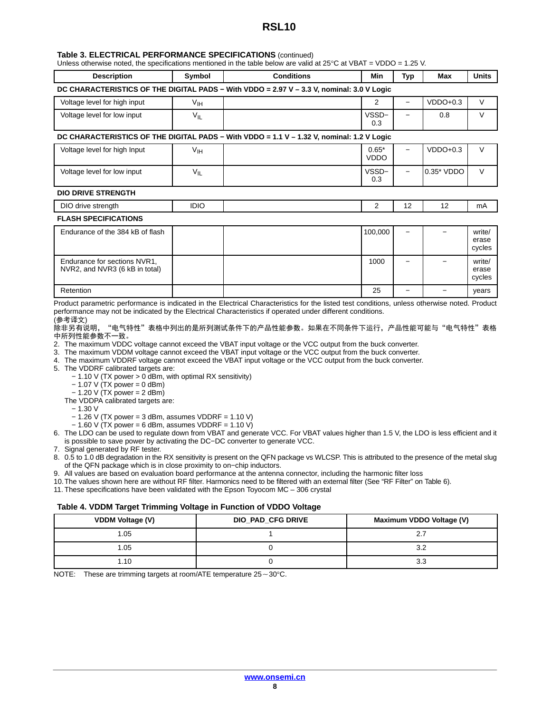#### <span id="page-7-0"></span>**Table [3.](#page-3-0) ELECTRICAL PERFORMANCE SPECIFICATIONS** (continued)

|                                                                                                                                                                                                                                                                                                                                                                                                                                                                                                                                                                                                                             | Symbol          | <b>Conditions</b>                                                                                                                                                                                                                                                                                                                                                                                                                                                                                                                                                                                                                                                                                                                                                                                                                                                                                        | Min                                                                                                        | Typ                      | Max                      | Units                     |
|-----------------------------------------------------------------------------------------------------------------------------------------------------------------------------------------------------------------------------------------------------------------------------------------------------------------------------------------------------------------------------------------------------------------------------------------------------------------------------------------------------------------------------------------------------------------------------------------------------------------------------|-----------------|----------------------------------------------------------------------------------------------------------------------------------------------------------------------------------------------------------------------------------------------------------------------------------------------------------------------------------------------------------------------------------------------------------------------------------------------------------------------------------------------------------------------------------------------------------------------------------------------------------------------------------------------------------------------------------------------------------------------------------------------------------------------------------------------------------------------------------------------------------------------------------------------------------|------------------------------------------------------------------------------------------------------------|--------------------------|--------------------------|---------------------------|
|                                                                                                                                                                                                                                                                                                                                                                                                                                                                                                                                                                                                                             |                 | DC CHARACTERISTICS OF THE DIGITAL PADS - With VDDO = 2.97 V - 3.3 V, nominal: 3.0 V Logic                                                                                                                                                                                                                                                                                                                                                                                                                                                                                                                                                                                                                                                                                                                                                                                                                |                                                                                                            |                          |                          |                           |
| Voltage level for high input                                                                                                                                                                                                                                                                                                                                                                                                                                                                                                                                                                                                | V <sub>IH</sub> |                                                                                                                                                                                                                                                                                                                                                                                                                                                                                                                                                                                                                                                                                                                                                                                                                                                                                                          | 2                                                                                                          | $\overline{\phantom{0}}$ | $VDDO+0.3$               | V                         |
| Voltage level for low input                                                                                                                                                                                                                                                                                                                                                                                                                                                                                                                                                                                                 | $V_{IL}$        |                                                                                                                                                                                                                                                                                                                                                                                                                                                                                                                                                                                                                                                                                                                                                                                                                                                                                                          | VSSD-<br>0.3                                                                                               | $\overline{\phantom{0}}$ | 0.8                      | V                         |
|                                                                                                                                                                                                                                                                                                                                                                                                                                                                                                                                                                                                                             |                 | DC CHARACTERISTICS OF THE DIGITAL PADS - With VDDO = 1.1 V - 1.32 V, nominal: 1.2 V Logic                                                                                                                                                                                                                                                                                                                                                                                                                                                                                                                                                                                                                                                                                                                                                                                                                |                                                                                                            |                          |                          |                           |
| Voltage level for high Input                                                                                                                                                                                                                                                                                                                                                                                                                                                                                                                                                                                                | V <sub>IH</sub> |                                                                                                                                                                                                                                                                                                                                                                                                                                                                                                                                                                                                                                                                                                                                                                                                                                                                                                          | $0.65*$<br><b>VDDO</b>                                                                                     | $\overline{\phantom{0}}$ | $VDDO+0.3$               | V                         |
| Voltage level for low input                                                                                                                                                                                                                                                                                                                                                                                                                                                                                                                                                                                                 | $V_{IL}$        |                                                                                                                                                                                                                                                                                                                                                                                                                                                                                                                                                                                                                                                                                                                                                                                                                                                                                                          | VSSD-<br>0.3                                                                                               |                          | 0.35* VDDO               | V                         |
| <b>DIO DRIVE STRENGTH</b>                                                                                                                                                                                                                                                                                                                                                                                                                                                                                                                                                                                                   |                 |                                                                                                                                                                                                                                                                                                                                                                                                                                                                                                                                                                                                                                                                                                                                                                                                                                                                                                          |                                                                                                            |                          |                          |                           |
| DIO drive strength                                                                                                                                                                                                                                                                                                                                                                                                                                                                                                                                                                                                          | <b>IDIO</b>     |                                                                                                                                                                                                                                                                                                                                                                                                                                                                                                                                                                                                                                                                                                                                                                                                                                                                                                          | 2                                                                                                          | 12                       | 12                       | mA                        |
| <b>FLASH SPECIFICATIONS</b>                                                                                                                                                                                                                                                                                                                                                                                                                                                                                                                                                                                                 |                 |                                                                                                                                                                                                                                                                                                                                                                                                                                                                                                                                                                                                                                                                                                                                                                                                                                                                                                          |                                                                                                            |                          |                          |                           |
| Endurance of the 384 kB of flash                                                                                                                                                                                                                                                                                                                                                                                                                                                                                                                                                                                            |                 |                                                                                                                                                                                                                                                                                                                                                                                                                                                                                                                                                                                                                                                                                                                                                                                                                                                                                                          | 100,000                                                                                                    |                          |                          | write/<br>erase<br>cycles |
| Endurance for sections NVR1,<br>NVR2, and NVR3 (6 kB in total)                                                                                                                                                                                                                                                                                                                                                                                                                                                                                                                                                              |                 |                                                                                                                                                                                                                                                                                                                                                                                                                                                                                                                                                                                                                                                                                                                                                                                                                                                                                                          | 1000                                                                                                       | $\overline{\phantom{0}}$ | $\overline{\phantom{0}}$ | write/<br>erase<br>cycles |
| Retention                                                                                                                                                                                                                                                                                                                                                                                                                                                                                                                                                                                                                   |                 |                                                                                                                                                                                                                                                                                                                                                                                                                                                                                                                                                                                                                                                                                                                                                                                                                                                                                                          | 25                                                                                                         |                          |                          | years                     |
| (参考译文)<br>除非另有说明,<br>中所列性能参数不一致。                                                                                                                                                                                                                                                                                                                                                                                                                                                                                                                                                                                            |                 | "电气特性"表格中列出的是所列测试条件下的产品性能参数。如果在不同条件下运行,产品性能可能与"电气特性"表格                                                                                                                                                                                                                                                                                                                                                                                                                                                                                                                                                                                                                                                                                                                                                                                                                                                   | performance may not be indicated by the Electrical Characteristics if operated under different conditions. |                          |                          |                           |
| 5. The VDDRF calibrated targets are:<br>$-1.10$ V (TX power $> 0$ dBm, with optimal RX sensitivity)<br>$-1.07$ V (TX power = 0 dBm)<br>$-1.20$ V (TX power = 2 dBm)<br>The VDDPA calibrated targets are:<br>$-1.30V$<br>$-1.26$ V (TX power = 3 dBm, assumes VDDRF = 1.10 V)<br>$-1.60$ V (TX power = 6 dBm, assumes VDDRF = 1.10 V)<br>is possible to save power by activating the DC-DC converter to generate VCC.<br>7. Signal generated by RF tester.<br>of the QFN package which is in close proximity to on-chip inductors.<br>11. These specifications have been validated with the Epson Toyocom $MC - 306$ crystal |                 | 2. The maximum VDDC voltage cannot exceed the VBAT input voltage or the VCC output from the buck converter.<br>3. The maximum VDDM voltage cannot exceed the VBAT input voltage or the VCC output from the buck converter.<br>4. The maximum VDDRF voltage cannot exceed the VBAT input voltage or the VCC output from the buck converter.<br>6. The LDO can be used to regulate down from VBAT and generate VCC. For VBAT values higher than 1.5 V, the LDO is less efficient and it<br>8. 0.5 to 1.0 dB degradation in the RX sensitivity is present on the QFN package vs WLCSP. This is attributed to the presence of the metal slug<br>9. All values are based on evaluation board performance at the antenna connector, including the harmonic filter loss<br>10. The values shown here are without RF filter. Harmonics need to be filtered with an external filter (See "RF Filter" on Table 6). |                                                                                                            |                          |                          |                           |
| Table 4. VDDM Target Trimming Voltage in Function of VDDO Voltage                                                                                                                                                                                                                                                                                                                                                                                                                                                                                                                                                           |                 |                                                                                                                                                                                                                                                                                                                                                                                                                                                                                                                                                                                                                                                                                                                                                                                                                                                                                                          |                                                                                                            |                          |                          |                           |
| <b>VDDM Voltage (V)</b>                                                                                                                                                                                                                                                                                                                                                                                                                                                                                                                                                                                                     |                 | <b>DIO_PAD_CFG DRIVE</b>                                                                                                                                                                                                                                                                                                                                                                                                                                                                                                                                                                                                                                                                                                                                                                                                                                                                                 |                                                                                                            |                          | Maximum VDDO Voltage (V) |                           |
| 1.05                                                                                                                                                                                                                                                                                                                                                                                                                                                                                                                                                                                                                        |                 | 1                                                                                                                                                                                                                                                                                                                                                                                                                                                                                                                                                                                                                                                                                                                                                                                                                                                                                                        |                                                                                                            |                          | 2.7                      |                           |
| 1.05<br>1.10                                                                                                                                                                                                                                                                                                                                                                                                                                                                                                                                                                                                                |                 | 0<br>0                                                                                                                                                                                                                                                                                                                                                                                                                                                                                                                                                                                                                                                                                                                                                                                                                                                                                                   |                                                                                                            |                          | 3.2<br>3.3               |                           |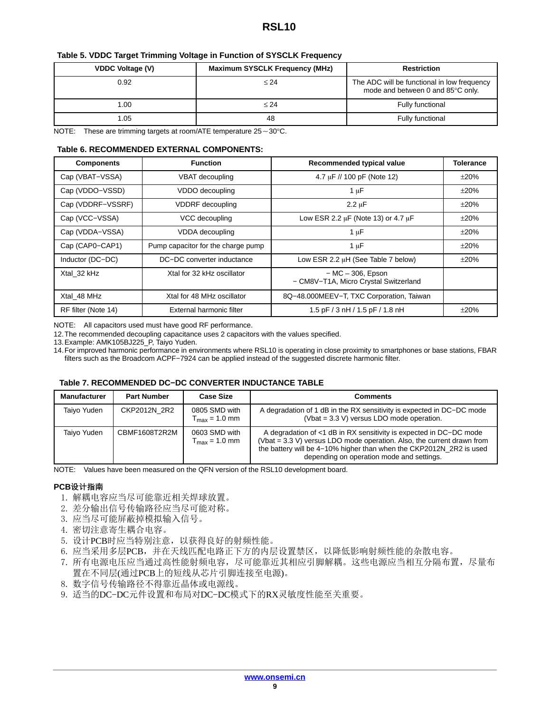#### <span id="page-8-0"></span>**Table 5. VDDC Target Trimming Voltage in Function of SYSCLK Frequency**

| <b>VDDC Voltage (V)</b>                                                             | <b>Maximum SYSCLK Frequency (MHz)</b> | <b>Restriction</b>                                                               |
|-------------------------------------------------------------------------------------|---------------------------------------|----------------------------------------------------------------------------------|
| 0.92                                                                                | $\leq 24$                             | The ADC will be functional in low frequency<br>mode and between 0 and 85°C only. |
| 1.00                                                                                | $\leq 24$                             | Fully functional                                                                 |
| 1.05                                                                                | 48                                    | Fully functional                                                                 |
| NOTE:<br>These are trimming targets at room/ATE temperature $25 \sim 30^{\circ}$ C. |                                       |                                                                                  |

#### **Table 6. RECOMMENDED EXTERNAL COMPONENTS:**

| <b>Components</b>   | <b>Function</b>                    | Recommended typical value                                     | <b>Tolerance</b> |
|---------------------|------------------------------------|---------------------------------------------------------------|------------------|
| Cap (VBAT-VSSA)     | <b>VBAT</b> decoupling             | 4.7 $\mu$ F // 100 pF (Note 12)                               | $\pm 20\%$       |
| Cap (VDDO-VSSD)     | VDDO decoupling                    | $1 \mu F$                                                     | $\pm 20\%$       |
| Cap (VDDRF-VSSRF)   | <b>VDDRF</b> decoupling            | $2.2 \mu F$                                                   | ±20%             |
| Cap (VCC-VSSA)      | VCC decoupling                     | Low ESR 2.2 $\mu$ F (Note 13) or 4.7 $\mu$ F                  | ±20%             |
| Cap (VDDA-VSSA)     | VDDA decoupling                    | $1 \mu F$                                                     | ±20%             |
| Cap (CAP0-CAP1)     | Pump capacitor for the charge pump | $1 \mu F$                                                     | ±20%             |
| Inductor (DC-DC)    | DC-DC converter inductance         | Low ESR 2.2 µH (See Table 7 below)                            | $\pm 20\%$       |
| Xtal 32 kHz         | Xtal for 32 kHz oscillator         | $- MC - 306$ , Epson<br>- CM8V-T1A, Micro Crystal Switzerland |                  |
| Xtal 48 MHz         | Xtal for 48 MHz oscillator         | 8Q-48.000MEEV-T, TXC Corporation, Taiwan                      |                  |
| RF filter (Note 14) | External harmonic filter           | 1.5 pF / 3 nH / 1.5 pF / 1.8 nH                               | $\pm 20\%$       |

NOTE: All capacitors used must have good RF performance.

12.The recommended decoupling capacitance uses 2 capacitors with the values specified.

13.Example: AMK105BJ225\_P, Taiyo Yuden.

14.For improved harmonic performance in environments where RSL10 is operating in close proximity to smartphones or base stations, FBAR filters such as the Broadcom ACPF−7924 can be applied instead of the suggested discrete harmonic filter.

## **Table 7. RECOMMENDED DC−DC CONVERTER INDUCTANCE TABLE**

| <b>Manufacturer</b> | <b>Part Number</b> | <b>Case Size</b>                           | <b>Comments</b>                                                                                                                                                                                                                                                    |
|---------------------|--------------------|--------------------------------------------|--------------------------------------------------------------------------------------------------------------------------------------------------------------------------------------------------------------------------------------------------------------------|
| Taiyo Yuden         | CKP2012N 2R2       | 0805 SMD with<br>$T_{\text{max}}$ = 1.0 mm | A degradation of 1 dB in the RX sensitivity is expected in DC-DC mode<br>(Vbat = $3.3$ V) versus LDO mode operation.                                                                                                                                               |
| Taiyo Yuden         | CBMF1608T2R2M      | 0603 SMD with<br>$T_{\text{max}}$ = 1.0 mm | A degradation of <1 dB in RX sensitivity is expected in DC-DC mode<br>(Vbat $=$ 3.3 V) versus LDO mode operation. Also, the current drawn from<br>the battery will be 4-10% higher than when the CKP2012N_2R2 is used<br>depending on operation mode and settings. |

NOTE: Values have been measured on the QFN version of the RSL10 development board.

#### **PCB设计指南**

- 1. 解耦电容应当尽可能靠近相关焊球放置。
- 2. 差分输出信号传输路径应当尽可能对称。
- 3. 应当尽可能屏蔽掉模拟输入信号。
- 4. 密切注意寄生耦合电容。
- 5. 设计PCB时应当特别注意, 以获得良好的射频性能。
- 6. 应当采用多层PCB, 并在天线匹配电路正下方的内层设置禁区, 以降低影响射频性能的杂散电容。
- 7. 所有电源电压应当通过高性能射频电容, 尽可能靠近其相应引脚解耦。这些电源应当相互分隔布置, 尽量布 置在不同层(通过PCB上的短线从芯片引脚连接至电源)。
- 8. 数字信号传输路径不得靠近晶体或电源线。
- 9. 适当的DC-DC元件设置和布局对DC-DC模式下的RX灵敏度性能至关重要。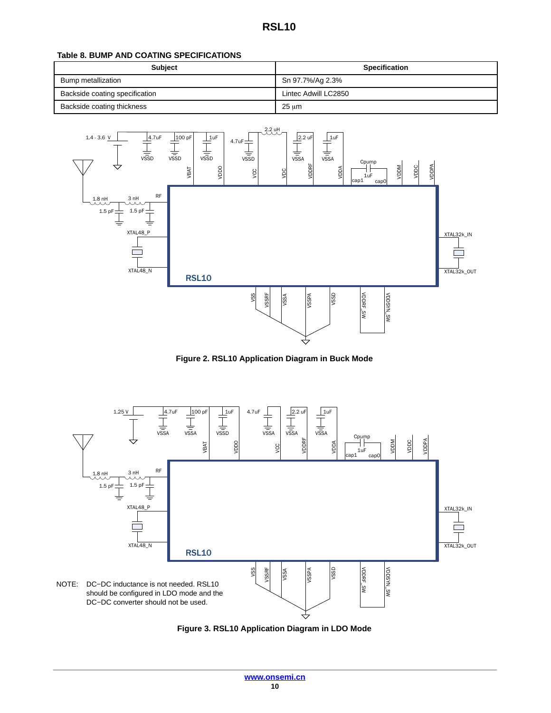#### **Table 8. BUMP AND COATING SPECIFICATIONS**

| <b>Subject</b>                 | <b>Specification</b> |
|--------------------------------|----------------------|
| <b>Bump metallization</b>      | Sn 97.7%/Ag 2.3%     |
| Backside coating specification | Lintec Adwill LC2850 |
| Backside coating thickness     | 25 um                |



**Figure 2. RSL10 Application Diagram in Buck Mode**



**Figure 3. RSL10 Application Diagram in LDO Mode**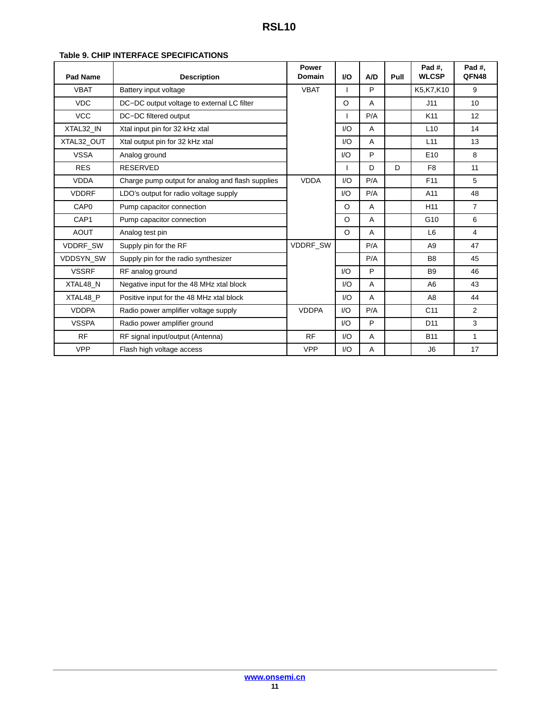| Pad Name         | <b>Description</b>                               | <b>Power</b><br>Domain | <b>VO</b> | A/D | Pull | Pad #.<br><b>WLCSP</b> | Pad #,<br>QFN48 |
|------------------|--------------------------------------------------|------------------------|-----------|-----|------|------------------------|-----------------|
| <b>VBAT</b>      | Battery input voltage                            | <b>VBAT</b>            |           | P   |      | K5, K7, K10            | 9               |
| <b>VDC</b>       | DC-DC output voltage to external LC filter       |                        | O         | A   |      | J11                    | 10 <sup>1</sup> |
| <b>VCC</b>       | DC-DC filtered output                            |                        |           | P/A |      | K11                    | 12              |
| XTAL32 IN        | Xtal input pin for 32 kHz xtal                   |                        | 1/O       | A   |      | L10                    | 14              |
| XTAL32 OUT       | Xtal output pin for 32 kHz xtal                  |                        | 1/O       | A   |      | L11                    | 13              |
| <b>VSSA</b>      | Analog ground                                    |                        | $l/O$     | P   |      | E <sub>10</sub>        | 8               |
| <b>RES</b>       | <b>RESERVED</b>                                  |                        |           | D   | D    | F <sub>8</sub>         | 11              |
| <b>VDDA</b>      | Charge pump output for analog and flash supplies | <b>VDDA</b>            | 1/O       | P/A |      | F11                    | 5               |
| <b>VDDRF</b>     | LDO's output for radio voltage supply            |                        | $l/O$     | P/A |      | A11                    | 48              |
| CAP <sub>0</sub> | Pump capacitor connection                        |                        | $\circ$   | A   |      | H <sub>11</sub>        | $\overline{7}$  |
| CAP1             | Pump capacitor connection                        |                        | O         | A   |      | G10                    | 6               |
| <b>AOUT</b>      | Analog test pin                                  |                        | $\Omega$  | A   |      | L <sub>6</sub>         | 4               |
| <b>VDDRF SW</b>  | Supply pin for the RF                            | VDDRF_SW               |           | P/A |      | A9                     | 47              |
| <b>VDDSYN SW</b> | Supply pin for the radio synthesizer             |                        |           | P/A |      | B <sub>8</sub>         | 45              |
| <b>VSSRF</b>     | RF analog ground                                 |                        | 1/O       | P   |      | B <sub>9</sub>         | 46              |
| XTAL48 N         | Negative input for the 48 MHz xtal block         |                        | 1/O       | A   |      | A <sub>6</sub>         | 43              |
| XTAL48_P         | Positive input for the 48 MHz xtal block         |                        | 1/O       | A   |      | A <sub>8</sub>         | 44              |
| <b>VDDPA</b>     | Radio power amplifier voltage supply             | <b>VDDPA</b>           | 1/O       | P/A |      | C <sub>11</sub>        | 2               |
| <b>VSSPA</b>     | Radio power amplifier ground                     |                        | 1/O       | P   |      | D <sub>11</sub>        | 3               |
| <b>RF</b>        | RF signal input/output (Antenna)                 | <b>RF</b>              | 1/O       | A   |      | <b>B11</b>             | 1               |
| <b>VPP</b>       | Flash high voltage access                        | <b>VPP</b>             | I/O       | A   |      | J6                     | 17              |

#### <span id="page-10-0"></span>**Table 9. CHIP INTERFACE SPECIFICATIONS**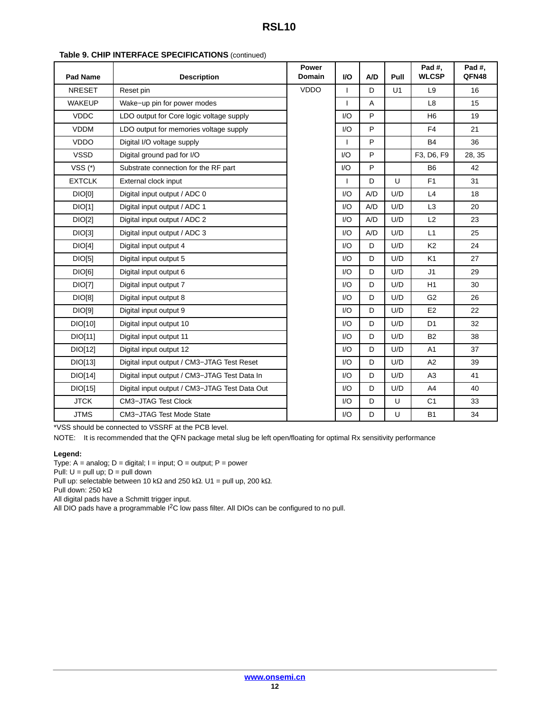| <b>Pad Name</b> | <b>Description</b>                            | Power<br><b>Domain</b> | <b>VO</b>               | A/D | Pull | Pad #,<br><b>WLCSP</b> | Pad #,<br>QFN48 |
|-----------------|-----------------------------------------------|------------------------|-------------------------|-----|------|------------------------|-----------------|
| <b>NRESET</b>   | Reset pin                                     | <b>VDDO</b>            | T                       | D   | U1   | L9                     | 16              |
| <b>WAKEUP</b>   | Wake-up pin for power modes                   |                        | T                       | A   |      | L <sub>8</sub>         | 15              |
| <b>VDDC</b>     | LDO output for Core logic voltage supply      |                        | 1/O                     | P   |      | H <sub>6</sub>         | 19              |
| <b>VDDM</b>     | LDO output for memories voltage supply        |                        | 1/O                     | P   |      | F <sub>4</sub>         | 21              |
| <b>VDDO</b>     | Digital I/O voltage supply                    |                        | T                       | P   |      | <b>B4</b>              | 36              |
| <b>VSSD</b>     | Digital ground pad for I/O                    |                        | $U$                     | P   |      | F3, D6, F9             | 28, 35          |
| VSS $(*)$       | Substrate connection for the RF part          |                        | $U$                     | P   |      | B <sub>6</sub>         | 42              |
| <b>EXTCLK</b>   | External clock input                          |                        | T                       | D   | U    | F <sub>1</sub>         | 31              |
| DIO[0]          | Digital input output / ADC 0                  |                        | 1/O                     | A/D | U/D  | L4                     | 18              |
| DIO[1]          | Digital input output / ADC 1                  |                        | 1/O                     | A/D | U/D  | L <sub>3</sub>         | 20              |
| DIO[2]          | Digital input output / ADC 2                  |                        | $\mathsf{U}\mathsf{O}$  | A/D | U/D  | L2                     | 23              |
| DIO[3]          | Digital input output / ADC 3                  |                        | $U$                     | A/D | U/D  | L1                     | 25              |
| DIO[4]          | Digital input output 4                        |                        | 1/O                     | D   | U/D  | K <sub>2</sub>         | 24              |
| DIO[5]          | Digital input output 5                        |                        | $U$                     | D   | U/D  | K1                     | 27              |
| DIO[6]          | Digital input output 6                        |                        | $U$                     | D   | U/D  | J <sub>1</sub>         | 29              |
| DIO[7]          | Digital input output 7                        |                        | 1/O                     | D   | U/D  | H1                     | 30              |
| DIO[8]          | Digital input output 8                        |                        | $U$                     | D   | U/D  | G <sub>2</sub>         | 26              |
| DIO[9]          | Digital input output 9                        |                        | 1/O                     | D   | U/D  | E2                     | 22              |
| DIO[10]         | Digital input output 10                       |                        | 1/O                     | D   | U/D  | D <sub>1</sub>         | 32              |
| DIO[11]         | Digital input output 11                       |                        | $l/O$                   | D   | U/D  | <b>B2</b>              | 38              |
| DIO[12]         | Digital input output 12                       |                        | $\mathsf{I}/\mathsf{O}$ | D   | U/D  | A <sub>1</sub>         | 37              |
| DIO[13]         | Digital input output / CM3-JTAG Test Reset    |                        | $\mathsf{U}\mathsf{O}$  | D   | U/D  | A2                     | 39              |
| DIO[14]         | Digital input output / CM3-JTAG Test Data In  |                        | $\mathsf{I}/\mathsf{O}$ | D   | U/D  | A3                     | 41              |
| DIO[15]         | Digital input output / CM3-JTAG Test Data Out |                        | 1/O                     | D   | U/D  | A4                     | 40              |
| <b>JTCK</b>     | <b>CM3-JTAG Test Clock</b>                    |                        | $\mathsf{IO}$           | D   | U    | C <sub>1</sub>         | 33              |
| <b>JTMS</b>     | <b>CM3-JTAG Test Mode State</b>               |                        | 1/O                     | D   | U    | <b>B1</b>              | 34              |

#### **Table [9](#page-10-0). CHIP INTERFACE SPECIFICATIONS** (continued)

\*VSS should be connected to VSSRF at the PCB level.

NOTE: It is recommended that the QFN package metal slug be left open/floating for optimal Rx sensitivity performance

#### **Legend:**

Type:  $A =$  analog;  $D =$  digital;  $I =$  input;  $O =$  output;  $P =$  power

Pull:  $U = \text{pull up}$ ;  $D = \text{pull down}$ 

Pull up: selectable between 10 k $\Omega$  and 250 k $\Omega$ . U1 = pull up, 200 k $\Omega$ .

Pull down: 250 k $\Omega$ 

All digital pads have a Schmitt trigger input.

All DIO pads have a programmable <sup>12</sup>C low pass filter. All DIOs can be configured to no pull.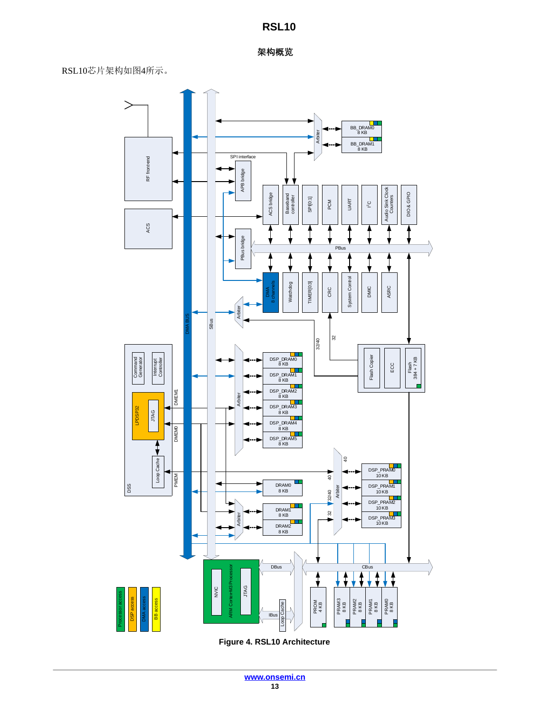架构概览

## RSL10芯片架构如图4所示。



**Figure 4. RSL10 Architecture**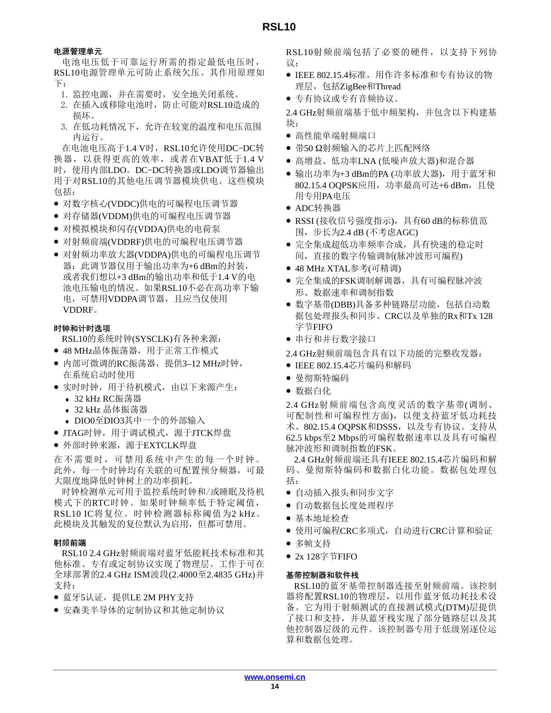## 电源管理单元

电池电压低于可靠运行所需的指定最低电压时, RSL10电源管理单元可防止系统欠压。其作用原理如  $\top$ :

- 1. 监控电源, 并在需要时, 安全地关闭系统。
- 2. 在插入或移除电池时, 防止可能对RSL10造成的 损坏。
- 3. 在低功耗情况下, 允许在较宽的温度和电压范围 内运行。

在电池电压高于1.4 V时, RSL10允许使用DC-DC转 换器, 以获得更高的效率, 或者在VBAT低于1.4 V 时, 使用内部LDO。DC-DC转换器或LDO调节器输出 用于对RSL10的其他电压调节器模块供电。这些模块 包括:

- 对数字核心(VDDC)供电的可编程电压调节器
- 对存储器(VDDM)供电的可编程电压调节器
- 对模拟模块和闪存(VDDA)供电的电荷泵
- 对射频前端(VDDRF)供电的可编程电压调节器
- 对射频功率放大器(VDDPA)供电的可编程电压调节 器: 此调节器仅用于输出功率为+6 dBm的封装, 或者我们想以+3 dBm的输出功率和低于1.4 V的电 池电压输电的情况。如果RSL10不必在高功率下输 电,可禁用VDDPA调节器,且应当仅使用 VDDRF.

## 时钟和计时选项

RSL10的系统时钟(SYSCLK)有各种来源:

- 48 MHz晶体振荡器, 用于正常工作模式
- 内部可微调的RC振荡器, 提供3-12 MHz时钟, 在系统启动时使用
- 实时时钟, 用于待机模式, 由以下来源产生:
	- ◆ 32 kHz RC振荡器
	- ◆ 32 kHz 晶体振荡器
	- DIO0至DIO3其中一个的外部输入
- JTAG时钟, 用于调试模式, 源于JTCK焊盘
- 外部时钟来源, 源于EXTCLK焊盘

在不需要时,可禁用系统中产生的每一个时钟。 此外,每一个时钟均有关联的可配置预分频器,可最 大限度地降低时钟树上的功率损耗。

时钟检测单元可用于监控系统时钟和/或睡眠及待机 模式下的RTC时钟。如果时钟频率低于特定阈值, RSL10 IC将复位。时钟检测器标称阈值为2 kHz。 此模块及其触发的复位默认为启用,但都可禁用。

## 射频前端

RSL10 2.4 GHz射频前端对蓝牙低能耗技术标准和其 他标准、专有或定制协议实现了物理层。工作于可在 全球部署的2.4 GHz ISM波段(2.4000至2.4835 GHz)并 支持:

- 蓝牙5认证, 提供LE 2M PHY支持
- 安森美半导体的定制协议和其他定制协议

RSL10射频前端包括了必要的硬件, 以支持下列协 议:

- IEEE 802.15.4标准, 用作许多标准和专有协议的物 理层, 包括ZigBee和Thread
- 专有协议或专有音频协议。

2.4 GHz射频前端基于低中频架构, 并包含以下构建基 块:

- 高性能单端射频端口
- 带50 Ω射频输入的芯片上匹配网络
- 高增益、低功率LNA (低噪声放大器)和混合器
- 输出功率为+3 dBm的PA (功率放大器), 用于蓝牙和 802.15.4 OOPSK应用, 功率最高可达+6 dBm, 且使 用专用PA电压
- ADC转换器
- RSSI (接收信号强度指示), 具有60 dB的标称值范 围, 步长为2.4 dB (不考虑AGC)
- 完全集成超低功率频率合成, 具有快速的稳定时 间,直接的数字传输调制(脉冲波形可编程)
- 48 MHz XTAL参考(可精调)
- 完全集成的FSK调制解调器, 具有可编程脉冲波 形、数据速率和调制指数
- 数字基带(DBB)具备多种链路层功能, 包括自动数 据包处理报头和同步、CRC以及单独的Rx和Tx 128 字节FIFO
- 串行和并行数字接口
- 2.4 GHz射频前端包含具有以下功能的完整收发器:
- IEEE 802.15.4芯片编码和解码
- 曼彻斯特编码
- 数据白化

2.4 GHz射频前端包含高度灵活的数字基带(调制、 可配制性和可编程性方面), 以便支持蓝牙低功耗技 术、802.15.4 OQPSK和DSSS, 以及专有协议。支持从 62.5 kbps至2 Mbps的可编程数据速率以及具有可编程 脉冲波形和调制指数的FSK。

2.4 GHz射频前端还具有IEEE 802.15.4芯片编码和解 码、曼彻斯特编码和数据白化功能。数据包处理包 括:

- 自动插入报头和同步文字
- 自动数据包长度处理程序
- 基本地址检查
- 使用可编程CRC多项式, 自动进行CRC计算和验证
- 多帧支持
- $2x 128$ 字节FIFO

#### 基带控制器和软件栈

RSL10的蓝牙基带控制器连接至射频前端。该控制 器将配置RSL10的物理层, 以用作蓝牙低功耗技术设 备。它为用于射频测试的直接测试模式(DTM)层提供 了接口和支持,并从蓝牙栈实现了部分链路层以及其 他控制器层级的元件。该控制器专用于低级别逐位运 算和数据包处理。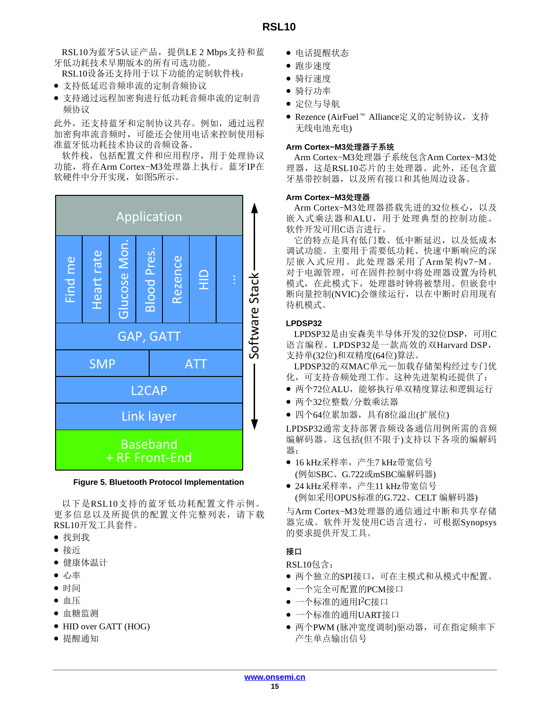RSL10为蓝牙5认证产品, 提供LE 2 Mbps支持和蓝 牙低功耗技术早期版本的所有可选功能。

- RSL10设备还支持用于以下功能的定制软件栈:
- 支持低延迟音频串流的定制音频协议
- 支持通过远程加密狗进行低功耗音频串流的定制音 频协议

此外,还支持蓝牙和定制协议共存。例如,通过远程 加密狗串流音频时,可能还会使用电话来控制使用标 准蓝牙低功耗技术协议的音频设备。

软件栈,包括配置文件和应用程序,用于处理协议 功能, 将在Arm Cortex-M3处理器上执行。蓝牙IP在 软硬件中分开实现,如图5所示。





以下是RSL10支持的蓝牙低功耗配置文件示例。 更多信息以及所提供的配置文件完整列表,请下载 RSL10开发工具套件。

- 找到我
- 接近
- 健康体温计
- 心率
- 时间
- $\bullet$  血压
- 血糖监测
- HID over GATT (HOG)
- 提醒通知
- 电话提醒状态
- 跑步速度
- 骑行速度
- 骑行功率
- 定位与导航
- Rezence (AirFuel™ Alliance定义的定制协议, 支持 无线电池充电)

#### Arm Cortex-M3处理器子系统

Arm Cortex-M3处理器子系统包含Arm Cortex-M3处 理器, 这是RSL10芯片的主处理器。此外, 还包含蓝 牙基带控制器, 以及所有接口和其他周边设备。

#### Arm Cortex-M3处理器

Arm Cortex-M3处理器搭载先进的32位核心, 以及 嵌入式乘法器和ALU,用于处理典型的控制功能。 软件开发可用C语言进行。

它的特点是具有低门数、低中断延迟, 以及低成本 调试功能。主要用于需要低功耗、快速中断响应的深 层嵌入式应用。此处理器采用了Arm架构v7-M。 对于电源管理,可在固件控制中将处理器设置为待机 模式, 在此模式下, 处理器时钟将被禁用。但嵌套中 断向量控制(NVIC)会继续运行, 以在中断时启用现有 待机模式。

#### LPDSP32

LPDSP32是由安森美半导体开发的32位DSP, 可用C 语言编程。LPDSP32是一款高效的双Harvard DSP, 支持单(32位)和双精度(64位)算法。

LPDSP32的双MAC单元一加载存储架构经过专门优 化,可支持音频处理工作。这种先进架构还提供了:

- 两个72位ALU, 能够执行单双精度算法和逻辑运行
- 两个32位整数/分数乘法器
- 四个64位累加器, 具有8位溢出(扩展位)

LPDSP32通常支持部署音频设备通信用例所需的音频 编解码器。这包括(但不限于)支持以下各项的编解码 器:

- 16 kHz采样率, 产生7 kHz带宽信号 (例如SBC、G.722或mSBC编解码器)
- 24 kHz采样率, 产生11 kHz带宽信号 (例如采用OPUS标准的G.722、CELT 编解码器)

与Arm Cortex-M3处理器的通信通过中断和共享存储 器完成。软件开发使用C语言进行,可根据Synopsys 的要求提供开发工具。

#### 接口

RSL10包含:

- · 两个独立的SPI接口, 可在主模式和从模式中配置。
- 一个完全可配置的PCM接口
- 一个标准的通用I2C接口
- 一个标准的通用UART接口
- 两个PWM (脉冲宽度调制)驱动器, 可在指定频率下 产生单点输出信号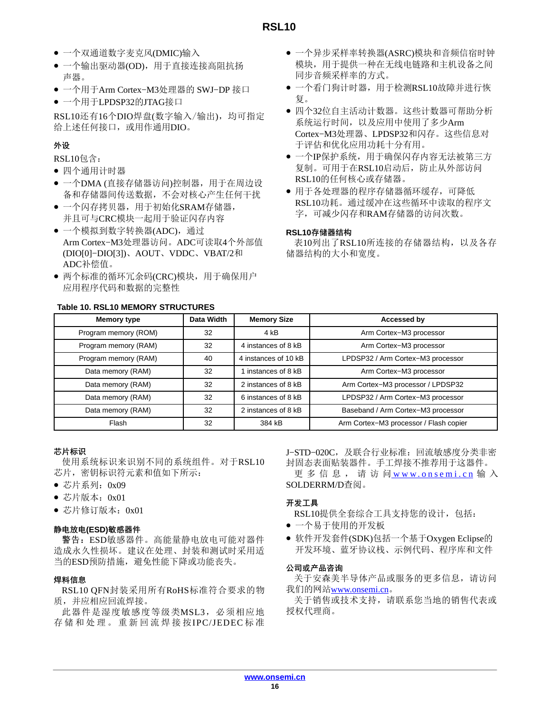- 一个双通道数字麦克风(DMIC)输入
- 一个输出驱动器(OD), 用于直接连接高阻抗扬 声器。
- 一个用于Arm Cortex-M3处理器的 SWJ-DP 接口
- 一个用于LPDSP32的JTAG接口

RSL10还有16个DIO焊盘(数字输入/输出),均可指定 给上述任何接口, 或用作通用DIO。

### 外设

**RSL10包含:** 

- 四个通用计时器
- 一个DMA (直接存储器访问)控制器, 用于在周边设 备和存储器间传送数据,不会对核心产生任何干扰
- · 一个闪存拷贝器, 用干初始化SRAM存储器, 并且可与CRC模块一起用于验证闪存内容
- 一个模拟到数字转换器(ADC), 通过 Arm Cortex-M3处理器访问。ADC可读取4个外部值 (DIO[0]-DIO[3])、AOUT、VDDC、VBAT/2和 ADC补偿值。
- 两个标准的循环冗余码(CRC)模块, 用于确保用户 应用程序代码和数据的完整性

## Table 40, DCL40 MEMORY CTRUCTURES

- 一个异步采样率转换器(ASRC)模块和音频信宿时钟 模块, 用于提供一种在无线电链路和主机设备之间 同步音频采样率的方式。
- 一个看门狗计时器, 用于检测RSL10故障并进行恢 复。
- 四个32位自主活动计数器。这些计数器可帮助分析 系统运行时间, 以及应用中使用了多少Arm Cortex-M3处理器、LPDSP32和闪存。这些信息对 于评估和优化应用功耗十分有用。
- 一个IP保护系统, 用于确保闪存内容无法被第三方 复制。可用于在RSL10启动后,防止从外部访问 RSL10的任何核心或存储器。
- 用于各处理器的程序存储器循环缓存, 可降低 RSL10功耗。通过缓冲在这些循环中读取的程序文 字, 可减少闪存和RAM存储器的访问次数。

#### RSL10存储器结构

表10列出了RSL10所连接的存储器结构, 以及各存 储器结构的大小和宽度。

| IADIE IU. RSLIU MEMURT SIRUCIURES |            |                      |                                        |  |  |  |  |
|-----------------------------------|------------|----------------------|----------------------------------------|--|--|--|--|
| Memory type                       | Data Width | <b>Memory Size</b>   | Accessed by                            |  |  |  |  |
| Program memory (ROM)              | 32         | 4 kB                 | Arm Cortex-M3 processor                |  |  |  |  |
| Program memory (RAM)              | 32         | 4 instances of 8 kB  | Arm Cortex-M3 processor                |  |  |  |  |
| Program memory (RAM)              | 40         | 4 instances of 10 kB | LPDSP32 / Arm Cortex-M3 processor      |  |  |  |  |
| Data memory (RAM)                 | 32         | instances of 8 kB    | Arm Cortex-M3 processor                |  |  |  |  |
| Data memory (RAM)                 | 32         | 2 instances of 8 kB  | Arm Cortex-M3 processor / LPDSP32      |  |  |  |  |
| Data memory (RAM)                 | 32         | 6 instances of 8 kB  | LPDSP32 / Arm Cortex-M3 processor      |  |  |  |  |
| Data memory (RAM)                 | 32         | 2 instances of 8 kB  | Baseband / Arm Cortex-M3 processor     |  |  |  |  |
| Flash                             | 32         | 384 kB               | Arm Cortex-M3 processor / Flash copier |  |  |  |  |

#### 芯片标识

使用系统标识来识别不同的系统组件。对于RSL10 芯片, 密钥标识符元素和值如下所示:

- 芯片系列: 0x09
- 芯片版本: 0x01
- 芯片修订版本: 0x01

#### 静电放电(ESD)敏感器件

警告: ESD敏感器件。高能量静电放电可能对器件 造成永久性损坏。建议在处理、封装和测试时采用适 当的ESD预防措施, 避免性能下降或功能丧失。

#### 焊料信息

RSL10 QFN封装采用所有RoHS标准符合要求的物 质,并应相应回流焊接。

此器件是湿度敏感度等级类MSL3, 必须相应地 存储和处理。重新回流焊接按IPC/JEDEC标准 J-STD-020C, 及联合行业标准: 回流敏感度分类非密 封固态表面贴装器件。手工焊接不推荐用于这器件。

更 多 信 息 , 请 访 问 www.onsemi.cn 输 入 SOLDERRM/D查阅。

#### 开发工具

- RSL10提供全套综合工具支持您的设计, 包括:
- 一个易于使用的开发板
- 软件开发套件(SDK)包括一个基于Oxygen Eclipse的 开发环境、蓝牙协议栈、示例代码、程序库和文件

#### 公司或产品咨询

关于安森美半导体产品或服务的更多信息,请访问 我们的网站www.onsemi.cn。

关于销售或技术支持,请联系您当地的销售代表或 授权代理商。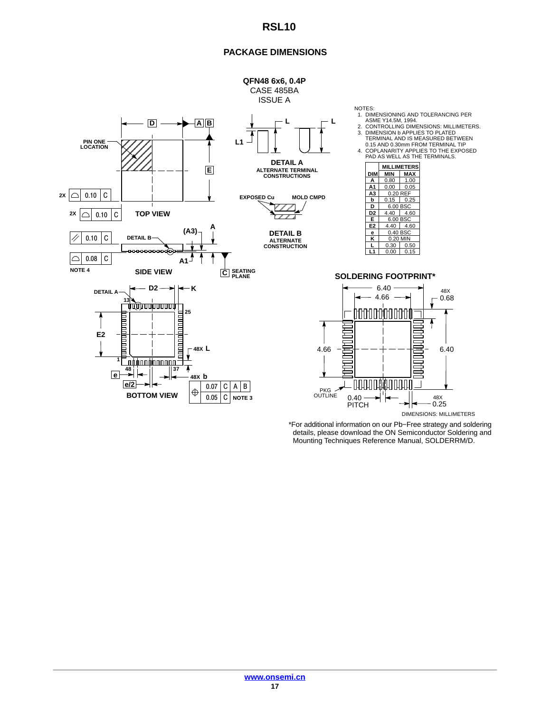#### **PACKAGE DIMENSIONS**



\*For additional information on our Pb−Free strategy and soldering details, please download the ON Semiconductor Soldering and Mounting Techniques Reference Manual, SOLDERRM/D.

0.25

48X

0.68 48X

6.40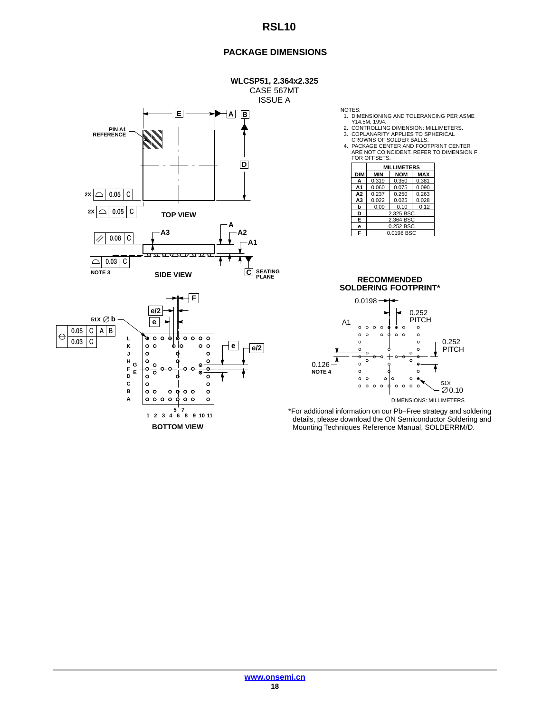#### **PACKAGE DIMENSIONS**



NOTES:

- 
- 
- 
- NOTES:<br>
1. DIMENSIONING AND TOLERANCING PER ASME<br>
2. CONTROLLING DIMENSION: MILLIMETERS.<br>
2. CONTROLLING DIMENSION: MILLIMETERS.<br>
3. COPLANARITY APPLIES TO SPHERICAL<br>
4. PACKAGE CENTER AND FOOTPRINT CENTER<br>
ARC NOT COINCID

|                | <b>MILLIMETERS</b> |            |            |  |  |  |  |
|----------------|--------------------|------------|------------|--|--|--|--|
| DIM            | MIN                | <b>NOM</b> | <b>MAX</b> |  |  |  |  |
| A              | 0.319              | 0.350      | 0.381      |  |  |  |  |
| A <sub>1</sub> | 0.060              | 0.075      | 0.090      |  |  |  |  |
| A2             | 0.237              | 0.250      | 0.263      |  |  |  |  |
| A <sub>3</sub> | 0.022              | 0.025      | 0.028      |  |  |  |  |
| b              | 0.09               | 0.10       | 0.12       |  |  |  |  |
| D              | 2.325 BSC          |            |            |  |  |  |  |
| Е              | 2.364 BSC          |            |            |  |  |  |  |
| e              | 0.252 BSC          |            |            |  |  |  |  |
| F              | 0.0198 BSC         |            |            |  |  |  |  |



\*For additional information on our Pb-Free strategy and soldering details, please download the ON Semiconductor Soldering and Mounting Techniques Reference Manual, SOLDERRM/D.